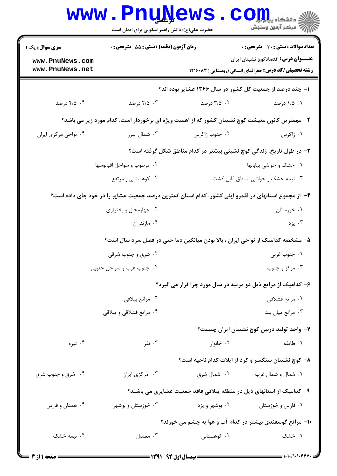|                                    | <b>www.PnuNews</b><br>حضرت علی(ع): دانش راهبر نیکویی برای ایمان است |                                                                                                     | د دانشکاه پی <mark>ا با با</mark> ر<br>أأأأ مركز آزمون وسنجش |
|------------------------------------|---------------------------------------------------------------------|-----------------------------------------------------------------------------------------------------|--------------------------------------------------------------|
| <b>سری سوال :</b> یک ۱             | <b>زمان آزمون (دقیقه) : تستی : 55 تشریحی : 0</b>                    |                                                                                                     | تعداد سوالات : تستي : 30 ٪ تشريحي : 0                        |
| www.PnuNews.com<br>www.PnuNews.net |                                                                     | <b>رشته تحصیلی/کد درس:</b> جغرافیای انسانی (روستایی )۱۲۱۶۰۸۳                                        | <b>عنـــوان درس:</b> اقتصادکوچ نشینان ایران                  |
|                                    |                                                                     | ۱– چند درصد از جمعیت کل کشور در سال ۱۳۶۶ عشایر بوده اند؟                                            |                                                              |
| ۰۴ درصد                            | ۰۳ درصد                                                             | ۰۲ درصد                                                                                             | ۰۱ ۱/۵ درصد                                                  |
|                                    |                                                                     | ۲– مهمترین کانون معیشت کوچ نشینان کشور که از اهمیت ویژه ای برخوردار است، کدام مورد زیر می باشد؟     |                                                              |
| ۰۴ نواحی مرکزی ایران               | ۰۳ شمال البرز                                                       | ۰۲ جنوب زاگرس                                                                                       | ۰۱ زاگرس                                                     |
|                                    |                                                                     | ۳- در طول تاریخ، زندگی کوچ نشینی بیشتر در کدام مناطق شکل گرفته است؟                                 |                                                              |
| ۰۲ مرطوب و سواحل اقیانوسها         |                                                                     | ۰۱ خشک و حواشی بیابانها                                                                             |                                                              |
|                                    | ۰۴ کوهستانی و مرتفع                                                 | ۰۳ نیمه خشک و حواشی مناطق قابل کشت                                                                  |                                                              |
|                                    |                                                                     | ۴– از مجموع استانهای در قلمرو ایلی کشور، کدام استان کمترین درصد جمعیت عشایر را در خود جای داده است؟ |                                                              |
|                                    | ۰۲ چهارمحال و بختیاری                                               |                                                                                                     | ۰۱ خوزستان                                                   |
|                                    | ۰۴ مازندران                                                         |                                                                                                     | ۰۳ يزد                                                       |
|                                    |                                                                     | ۵– مشخصه کدامیک از نواحی ایران ، بالا بودن میانگین دما حتی در فصل سرد سال است؟                      |                                                              |
| ۰۲ شرق و جنوب شرقی                 |                                                                     | ۰۱ جنوب غربی                                                                                        |                                                              |
| ۰۴ جنوب غرب و سواحل جنوبي          |                                                                     | ۰۳ مرکز و جنوب                                                                                      |                                                              |
|                                    |                                                                     | ۶- کدامیک از مراتع ذیل دو مرتبه در سال مورد چرا قرار می گیرد؟                                       |                                                              |
|                                    | ۰۲ مراتع پيلاقي                                                     |                                                                                                     | ٠١ مراتع قشلاقي                                              |
|                                    | ۰۴ مراتع قشلاقی و پیلاقی                                            |                                                                                                     | ۰۳ مراتع میان بند                                            |
|                                    |                                                                     |                                                                                                     | ۷– واحد تولید دربین کوچ نشینان ایران چیست؟                   |
| ۰۴ تیره                            | ۰۳ نفر                                                              | ۰۲ خانوار                                                                                           | ۰۱ طايفه                                                     |
|                                    |                                                                     | ۸– کوچ نشینان سنگسر و کرد از ایلات کدام ناحیه است؟                                                  |                                                              |
| ۰۴ شرق و جنوب شرق                  | ۰۳ مرکزی ایران                                                      | ۰۲ شمال شرق                                                                                         | ۰۱ شمال و شمال غرب                                           |
|                                    |                                                                     | ۹- کدامیک از استانهای ذیل در منطقه پیلاقی فاقد جمعیت عشایری می باشند؟                               |                                                              |
| ۰۴ همدان و فارس                    | ۰۳ خوزستان و بوشهر                                                  | ۰۲ بوشهر و یزد                                                                                      | ۰۱ فارس و خوزستان                                            |
|                                    |                                                                     | ۱۰– مراتع گوسفندی بیشتر در کدام آب و هوا به چشم می خورند؟                                           |                                                              |
| ۰۴ نیمه خشک                        | ۰۳ معتدل                                                            | ۰۲ کوهستانی                                                                                         | ۰۱ خشک                                                       |
|                                    |                                                                     |                                                                                                     |                                                              |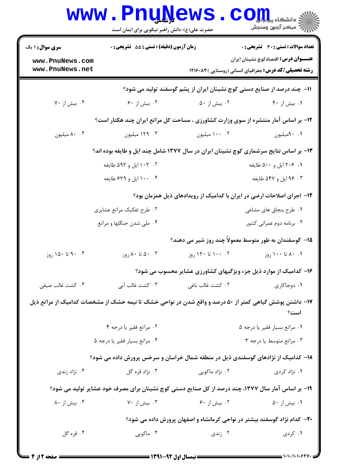|                                                                                       | <b>www.PnuNews</b><br>حضرت علی(ع): دانش راهبر نیکویی برای ایمان است                                    |                                                                          | رآ - مرڪز آزمون وسنڊش                                                                                        |  |  |
|---------------------------------------------------------------------------------------|--------------------------------------------------------------------------------------------------------|--------------------------------------------------------------------------|--------------------------------------------------------------------------------------------------------------|--|--|
| <b>سری سوال : ۱ یک</b>                                                                | <b>زمان آزمون (دقیقه) : تستی : 55 تشریحی : 0</b>                                                       |                                                                          | <b>تعداد سوالات : تستی : 30 ٪ تشریحی : 0</b>                                                                 |  |  |
| www.PnuNews.com<br>www.PnuNews.net                                                    |                                                                                                        |                                                                          | <b>عنــــوان درس:</b> اقتصادکوچ نشینان ایران<br><b>رشته تحصیلی/کد درس:</b> جغرافیای انسانی (روستایی )۱۲۱۶۰۸۳ |  |  |
|                                                                                       |                                                                                                        | 1۱– چند درصد از صنایع دستی کوچ نشینان ایران از پشم گوسفند تولید می شود؟  |                                                                                                              |  |  |
| ۰۴ بیش از ۷۰                                                                          | ۰۳ بیش از ۶۰                                                                                           | ۰۲ بیش از ۵۰                                                             | ٠. بيش از ۴٠                                                                                                 |  |  |
|                                                                                       | ۱۲- بر اساس آمار منتشره از سوی وزارت کشاورزی ، مساحت کل مراتع ایران چند هکتار است؟                     |                                                                          |                                                                                                              |  |  |
| ۰.۴ میلیون                                                                            | ۰۳ ۱۲۹ میلیون                                                                                          | ۰۲ ۱۰۰ میلیون                                                            | ٠. ٩٠ميليون                                                                                                  |  |  |
| ۱۳- بر اساس نتایج سرشماری کوچ نشینان ایران در سال ۱۳۷۷ شامل چند ایل و طایفه بوده اند؟ |                                                                                                        |                                                                          |                                                                                                              |  |  |
|                                                                                       | ۰۲ - ۱۰۲ ایل و ۵۹۲ طایفه                                                                               | ۰۱ ۲۰۶ ایل و ۵۰۰ طایفه                                                   |                                                                                                              |  |  |
|                                                                                       | ۰۴ . ۱۰۰ ایل و ۶۲۹ طایفه                                                                               |                                                                          | ۰۳ و ۵۴۷ طایفه                                                                                               |  |  |
| ۱۴- اجرای اصلاحات ارضی در ایران با کدامیک از رویدادهای ذیل همزمان بود؟                |                                                                                                        |                                                                          |                                                                                                              |  |  |
|                                                                                       | ۰۲ طرح تفکیک مراتع عشایری                                                                              |                                                                          | ۰۱ طرح بنجاق های مشاعی                                                                                       |  |  |
|                                                                                       | ۰۴ ملی شدن جنگلها و مراتع                                                                              |                                                                          | ۰۳ برنامه دوم عمرانی کشور                                                                                    |  |  |
|                                                                                       |                                                                                                        | ۱۵– گوسفندان به طور متوسط معمولاً چند روز شیر می دهند؟                   |                                                                                                              |  |  |
| ۰۴ تا ۱۵۰ روز                                                                         | ۰۰ تا ۸۰ روز                                                                                           | ۰۰ ۱۰۰ تا ۱۲۰ روز                                                        | ۰۱ ۸۰ تا ۱۰۰ روز                                                                                             |  |  |
|                                                                                       |                                                                                                        | ۱۶- کدامیک از موارد ذیل جزء ویژگیهای کشاورزی عشایر محسوب می شود؟         |                                                                                                              |  |  |
| ۰۴ كشت غالب صيفى                                                                      | ۰۳ کشت غالب آبی                                                                                        | ۲. کشت غالب باغی                                                         | ۰۱ دوجاکاری                                                                                                  |  |  |
|                                                                                       | ۱۷– داشتن پوشش گیاهی کمتر از ۵۰ درصد و واقع شدن در نواحی خشک تا نیمه خشک از مشخصات کدامیک از مراتع ذیل |                                                                          | است؟                                                                                                         |  |  |
|                                                                                       | ۰۲ مراتع فقير يا درجه ۴                                                                                |                                                                          | ٠١. مراتع بسيار فقير يا درجه ٥                                                                               |  |  |
|                                                                                       | ۰۴ مراتع بسيار فقير يا درجه ۵                                                                          |                                                                          | ۰۳ مراتع متوسط یا درجه ۳                                                                                     |  |  |
|                                                                                       | ۱۸– کدامیک از نژادهای گوسفندی ذیل در منطقه شمال خراسان و سرخس پرورش داده می شود؟                       |                                                                          |                                                                                                              |  |  |
| ۰۴ نژاد زندی                                                                          | ۰۳ نژاد قره گل                                                                                         | ۰۲ نژاد ماکویی                                                           | ۰۱ نژاد کردی                                                                                                 |  |  |
|                                                                                       | ۱۹- بر اساس آمار سال ۱۳۷۷، چند درصد از کل صنایع دستی کوچ نشینان برای مصرف خود عشایر تولید می شود؟      |                                                                          |                                                                                                              |  |  |
| ۰۴ بیش از ۸۰                                                                          | ۰۳ بیش از ۷۰                                                                                           | ۰۲ بیش از ۶۰                                                             | ۰۱ بیش از ۵۰                                                                                                 |  |  |
|                                                                                       |                                                                                                        | ۲۰– کدام نژاد گوسفند بیشتر در نواحی کرمانشاه و اصفهان پرورش داده می شود؟ |                                                                                                              |  |  |
| ۰۴ قره گل                                                                             | ۰۳ ماکویی                                                                                              | ۰۲ زندی                                                                  | ۰۱ کردی                                                                                                      |  |  |

 $1 - 1 - 11 - 1 - 9$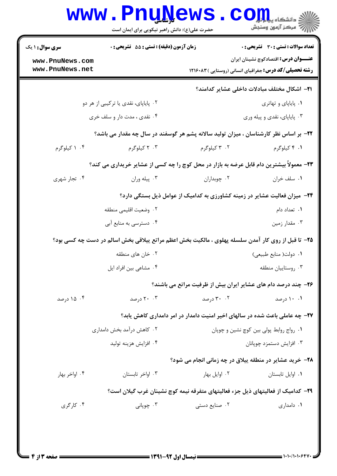| <b>سری سوال : ۱ یک</b>                                               | زمان آزمون (دقیقه) : تستی : 55 تشریحی : 0                                                          |                                                                                         | تعداد سوالات : تستى : 30 - تشريحي : 0               |  |
|----------------------------------------------------------------------|----------------------------------------------------------------------------------------------------|-----------------------------------------------------------------------------------------|-----------------------------------------------------|--|
| www.PnuNews.com                                                      |                                                                                                    |                                                                                         | <b>عنـــوان درس:</b> اقتصادکوچ نشینان ایران         |  |
| www.PnuNews.net                                                      |                                                                                                    | <b>رشته تحصیلی/کد درس:</b> جغرافیای انسانی (روستایی )۱۲۱۶۰۸۳                            |                                                     |  |
|                                                                      |                                                                                                    |                                                                                         | <b>ا۲</b> – اشکال مختلف مبادلات داخلی عشایر کدامند؟ |  |
| ۰۲ پایاپای، نقدی یا ترکیبی از هر دو                                  |                                                                                                    |                                                                                         | ۰۱ پایاپای و تهاتری                                 |  |
| ۰۴ نقدی ، مدت دار و سلف خری                                          |                                                                                                    | ۰۳ پایاپای، نقدی و پیله وری                                                             |                                                     |  |
|                                                                      | ۲۲- بر اساس نظر کارشناسان ، میزان تولید سالانه پشم هر گوسفند در سال چه مقدار می باشد؟              |                                                                                         |                                                     |  |
| ۰۴ کیلوگرم                                                           | ۰۳ کیلوگرم                                                                                         | ۰۲ کیلوگرم                                                                              | ۰۱ ۴ کیلوگرم                                        |  |
|                                                                      | ۲۳- معمولاً بیشترین دام قابل عرضه به بازار در محل کوچ را چه کسی از عشایر خریداری می کند؟           |                                                                                         |                                                     |  |
| ۰۴ تجار شهری                                                         | ۰۳ پیله وران                                                                                       | ۰۲ چوبداران                                                                             | ٠١ سلف خران                                         |  |
|                                                                      |                                                                                                    | <b>۲۴</b> - میزان فعالیت عشایر در زمینه کشاورزی به کدامیک از عوامل ذیل بستگی دارد؟      |                                                     |  |
|                                                                      | ۰۲ وضعيت اقليمي منطقه                                                                              |                                                                                         | ۰۱ تعداد دام                                        |  |
|                                                                      | ۰۴ دسترسی به منابع آبی                                                                             |                                                                                         | ۰۳ مقدار زمین                                       |  |
|                                                                      | ۲۵- تا قبل از روی کار آمدن سلسله پهلوی ، مالکیت بخش اعظم مراتع پیلاقی بخش اسالم در دست چه کسی بود؟ |                                                                                         |                                                     |  |
|                                                                      | ۰۲ خان های منطقه                                                                                   | ۰۱ دولت( منابع طبیعی)                                                                   |                                                     |  |
|                                                                      | ۰۴ مشاعی بین افراد ایل                                                                             | ۰۳ روستاييان منطقه                                                                      |                                                     |  |
|                                                                      |                                                                                                    | ۲۶- چند درصد دام های عشایر ایران بیش از ظرفیت مراتع می باشند؟                           |                                                     |  |
| ۰۴ درصد                                                              | ۲۰ ۲۰ درصد                                                                                         | ۲. ۳۰ درصد                                                                              | ۰۱ ۱۰ درصد                                          |  |
|                                                                      |                                                                                                    | ۲۷– چه عاملی باعث شده در سالهای اخیر امنیت دامدار در امر دامداری کاهش یابد؟             |                                                     |  |
| ۰۲ کاهش درآمد بخش دامداری<br>٠١ رواج روابط پولي بين كوچ نشين و چوپان |                                                                                                    |                                                                                         |                                                     |  |
| ۰۴ افزايش هزينه توليد                                                |                                                                                                    | ۰۳ افزایش دستمزد چوپانان                                                                |                                                     |  |
|                                                                      |                                                                                                    | <b>۲۸- خرید عشایر در منطقه پیلاق در چه زمانی انجام می شود؟</b>                          |                                                     |  |
| ۰۴ اواخر بهار                                                        | ۰۳ اواخر تابستان                                                                                   | ۰۲ اوایل بهار                                                                           | ٠١ اوايل تابستان                                    |  |
|                                                                      |                                                                                                    | <b>۲۹</b> - کدامیک از فعالیتهای ذیل جزء فعالیتهای متفرقه نیمه کوچ نشینان غرب گیلان است؟ |                                                     |  |
| ۰۴ کا <sub>ر</sub> گری                                               | ۰۳ چوپانی                                                                                          | ۰۲ صنایع دستی                                                                           | ۰۱ دامداری                                          |  |